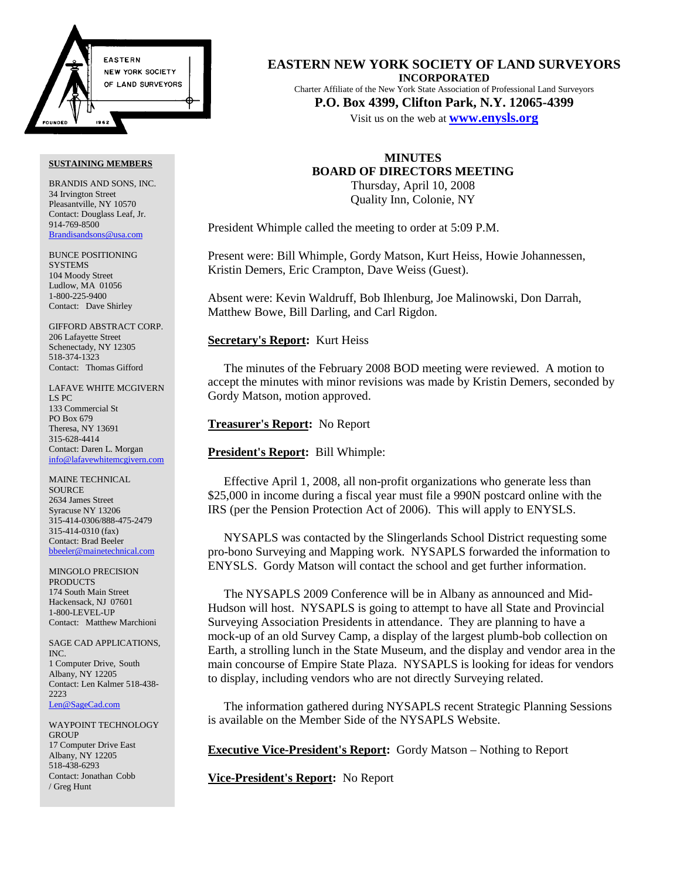

#### **SUSTAINING MEMBERS**

BRANDIS AND SONS, INC. 34 Irvington Street Pleasantville, NY 10570 Contact: Douglass Leaf, Jr. 914-769-8500 Brandisandsons@usa.com

BUNCE POSITIONING **SYSTEMS** 104 Moody Street Ludlow, MA 01056 1-800-225-9400 Contact: Dave Shirley

GIFFORD ABSTRACT CORP. 206 Lafayette Street Schenectady, NY 12305 518-374-1323 Contact: Thomas Gifford

LAFAVE WHITE MCGIVERN LS PC 133 Commercial St PO Box 679 Theresa, NY 13691 315-628-4414 Contact: Daren L. Morgan info@lafavewhitemcgivern.com

MAINE TECHNICAL SOURCE 2634 James Street Syracuse NY 13206 315-414-0306/888-475-2479 315-414-0310 (fax) Contact: Brad Beeler bbeeler@mainetechnical.com

MINGOLO PRECISION PRODUCTS 174 South Main Street Hackensack, NJ 07601 1-800-LEVEL-UP Contact: Matthew Marchioni

SAGE CAD APPLICATIONS, INC. 1 Computer Drive, South Albany, NY 12205 Contact: Len Kalmer 518-438- 2223 Len@SageCad.com

WAYPOINT TECHNOLOGY **GROUP** 17 Computer Drive East Albany, NY 12205 518-438-6293 Contact: Jonathan Cobb / Greg Hunt

**EASTERN NEW YORK SOCIETY OF LAND SURVEYORS INCORPORATED** Charter Affiliate of the New York State Association of Professional Land Surveyors **P.O. Box 4399, Clifton Park, N.Y. 12065-4399**

Visit us on the web at **www.enysls.org**

# **MINUTES BOARD OF DIRECTORS MEETING** Thursday, April 10, 2008 Quality Inn, Colonie, NY

President Whimple called the meeting to order at 5:09 P.M.

Present were: Bill Whimple, Gordy Matson, Kurt Heiss, Howie Johannessen, Kristin Demers, Eric Crampton, Dave Weiss (Guest).

Absent were: Kevin Waldruff, Bob Ihlenburg, Joe Malinowski, Don Darrah, Matthew Bowe, Bill Darling, and Carl Rigdon.

## **Secretary's Report:** Kurt Heiss

The minutes of the February 2008 BOD meeting were reviewed. A motion to accept the minutes with minor revisions was made by Kristin Demers, seconded by Gordy Matson, motion approved.

# **Treasurer's Report:** No Report

# **President's Report:** Bill Whimple:

Effective April 1, 2008, all non-profit organizations who generate less than \$25,000 in income during a fiscal year must file a 990N postcard online with the IRS (per the Pension Protection Act of 2006). This will apply to ENYSLS.

NYSAPLS was contacted by the Slingerlands School District requesting some pro-bono Surveying and Mapping work. NYSAPLS forwarded the information to ENYSLS. Gordy Matson will contact the school and get further information.

The NYSAPLS 2009 Conference will be in Albany as announced and Mid-Hudson will host. NYSAPLS is going to attempt to have all State and Provincial Surveying Association Presidents in attendance. They are planning to have a mock-up of an old Survey Camp, a display of the largest plumb-bob collection on Earth, a strolling lunch in the State Museum, and the display and vendor area in the main concourse of Empire State Plaza. NYSAPLS is looking for ideas for vendors to display, including vendors who are not directly Surveying related.

The information gathered during NYSAPLS recent Strategic Planning Sessions is available on the Member Side of the NYSAPLS Website.

**Executive Vice-President's Report:** Gordy Matson – Nothing to Report

**Vice-President's Report:** No Report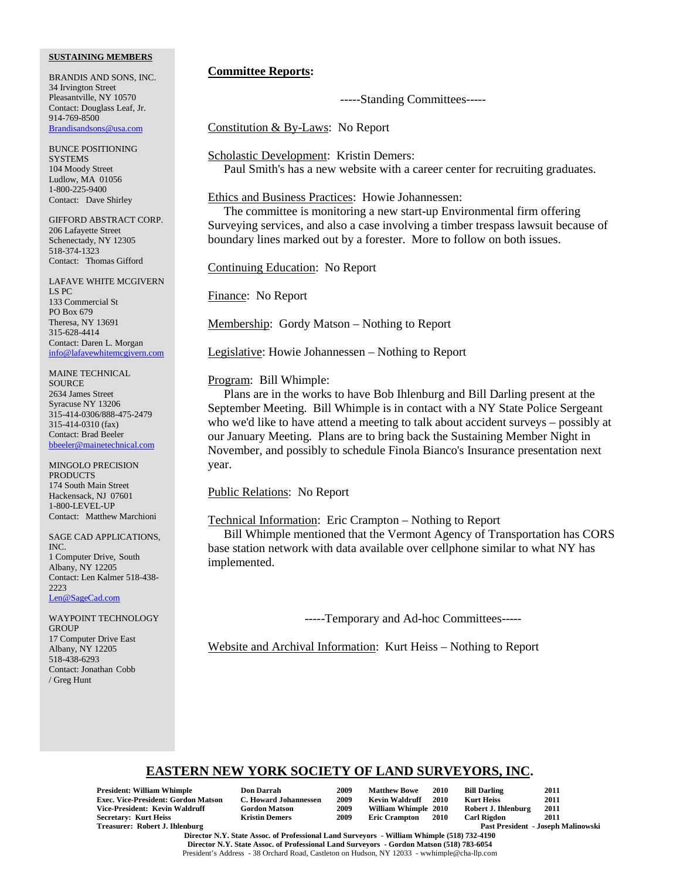### **SUSTAINING MEMBERS**

BRANDIS AND SONS, INC. 34 Irvington Street Pleasantville, NY 10570 Contact: Douglass Leaf, Jr. 914-769-8500 Brandisandsons@usa.com

BUNCE POSITIONING **SYSTEMS** 104 Moody Street Ludlow, MA 01056 1-800-225-9400 Contact: Dave Shirley

GIFFORD ABSTRACT CORP. 206 Lafayette Street Schenectady, NY 12305 518-374-1323 Contact: Thomas Gifford

LAFAVE WHITE MCGIVERN LS PC 133 Commercial St PO Box 679 Theresa, NY 13691 315-628-4414 Contact: Daren L. Morgan info@lafavewhitemcgivern.com

MAINE TECHNICAL **SOURCE** 2634 James Street Syracuse NY 13206 315-414-0306/888-475-2479 315-414-0310 (fax) Contact: Brad Beeler bbeeler@mainetechnical.com

MINGOLO PRECISION PRODUCTS 174 South Main Street Hackensack, NJ 07601 1-800-LEVEL-UP Contact: Matthew Marchioni

SAGE CAD APPLICATIONS, INC. 1 Computer Drive, South Albany, NY 12205 Contact: Len Kalmer 518-438- 2223 Len@SageCad.com

WAYPOINT TECHNOLOGY **GROUP** 17 Computer Drive East Albany, NY 12205 518-438-6293 Contact: Jonathan Cobb / Greg Hunt

# **Committee Reports:**

-----Standing Committees-----

Constitution & By-Laws: No Report

Scholastic Development: Kristin Demers: Paul Smith's has a new website with a career center for recruiting graduates.

# Ethics and Business Practices: Howie Johannessen:

The committee is monitoring a new start-up Environmental firm offering Surveying services, and also a case involving a timber trespass lawsuit because of boundary lines marked out by a forester. More to follow on both issues.

Continuing Education: No Report

Finance: No Report

Membership: Gordy Matson – Nothing to Report

Legislative: Howie Johannessen – Nothing to Report

Program: Bill Whimple:

Plans are in the works to have Bob Ihlenburg and Bill Darling present at the September Meeting. Bill Whimple is in contact with a NY State Police Sergeant who we'd like to have attend a meeting to talk about accident surveys – possibly at our January Meeting. Plans are to bring back the Sustaining Member Night in November, and possibly to schedule Finola Bianco's Insurance presentation next year.

Public Relations: No Report

Technical Information: Eric Crampton – Nothing to Report

Bill Whimple mentioned that the Vermont Agency of Transportation has CORS base station network with data available over cellphone similar to what NY has implemented.

-----Temporary and Ad-hoc Committees-----

Website and Archival Information: Kurt Heiss – Nothing to Report

# **EASTERN NEW YORK SOCIETY OF LAND SURVEYORS, INC.**

**President: William Whimple Don Darrah 2009 Matthew Bowe 2010 Bill Darling 2011** Exec. Vice-President: Gordon Matson C. Howard Johannessen 2009 Kevin Waldruff 2010 **Vice-President: Kevin Waldruff Gordon Matson 2009 William Whimple 2010 Robert J. Ihlenburg 2011 Secretary: Kurt Heiss<br>Treasurer: Robert J. Ihlenburg** 

| Don Darrah                  |
|-----------------------------|
| <b>C. Howard Johannesse</b> |
| Gordon Matson               |
| Kristin Demers              |

Past President - Joseph Malinowski

**Director N.Y. State Assoc. of Professional Land Surveyors - William Whimple (518) 732-4190 Director N.Y. State Assoc. of Professional Land Surveyors - Gordon Matson (518) 783-6054** President's Address - 38 Orchard Road, Castleton on Hudson, NY 12033 - wwhimple@cha-llp.com